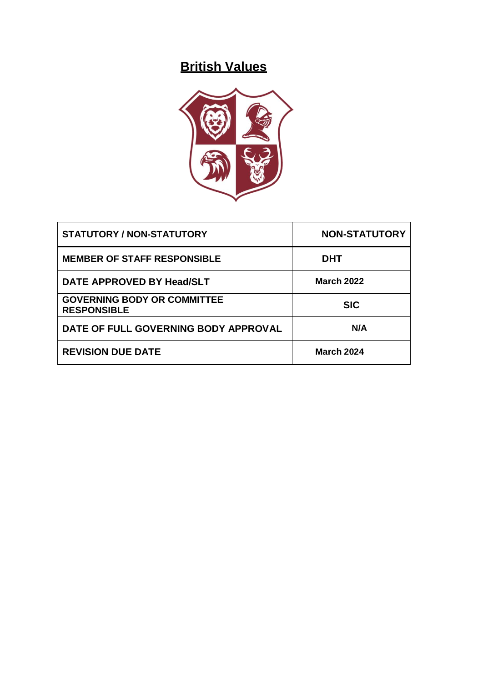# **British Values**



| <b>STATUTORY / NON-STATUTORY</b>                         | <b>NON-STATUTORY</b> |
|----------------------------------------------------------|----------------------|
| <b>MEMBER OF STAFF RESPONSIBLE</b>                       | <b>DHT</b>           |
| DATE APPROVED BY Head/SLT                                | <b>March 2022</b>    |
| <b>GOVERNING BODY OR COMMITTEE</b><br><b>RESPONSIBLE</b> | <b>SIC</b>           |
| DATE OF FULL GOVERNING BODY APPROVAL                     | N/A                  |
| <b>REVISION DUE DATE</b>                                 | <b>March 2024</b>    |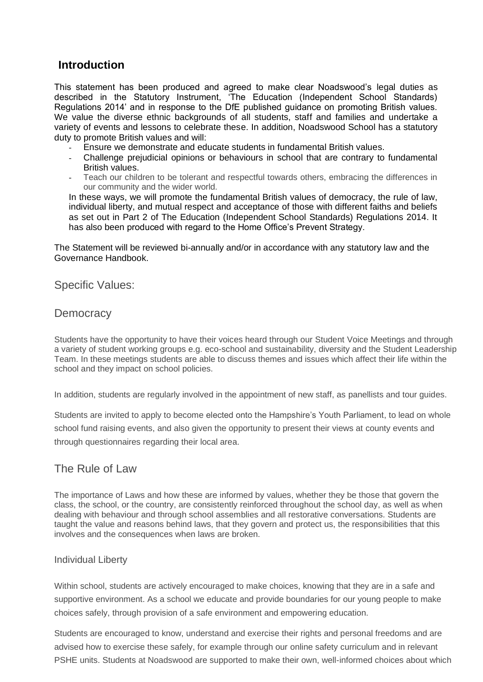# **Introduction**

This statement has been produced and agreed to make clear Noadswood's legal duties as described in the Statutory Instrument, 'The Education (Independent School Standards) Regulations 2014' and in response to the DfE published guidance on promoting British values. We value the diverse ethnic backgrounds of all students, staff and families and undertake a variety of events and lessons to celebrate these. In addition, Noadswood School has a statutory duty to promote British values and will:

- Ensure we demonstrate and educate students in fundamental British values.
- Challenge prejudicial opinions or behaviours in school that are contrary to fundamental British values.
- Teach our children to be tolerant and respectful towards others, embracing the differences in our community and the wider world.

In these ways, we will promote the fundamental British values of democracy, the rule of law, individual liberty, and mutual respect and acceptance of those with different faiths and beliefs as set out in Part 2 of The Education (Independent School Standards) Regulations 2014. It has also been produced with regard to the Home Office's Prevent Strategy.

The Statement will be reviewed bi-annually and/or in accordance with any statutory law and the Governance Handbook.

Specific Values:

### **Democracy**

Students have the opportunity to have their voices heard through our Student Voice Meetings and through a variety of student working groups e.g. eco-school and sustainability, diversity and the Student Leadership Team. In these meetings students are able to discuss themes and issues which affect their life within the school and they impact on school policies.

In addition, students are regularly involved in the appointment of new staff, as panellists and tour guides.

Students are invited to apply to become elected onto the Hampshire's Youth Parliament, to lead on whole school fund raising events, and also given the opportunity to present their views at county events and through questionnaires regarding their local area.

## The Rule of Law

The importance of Laws and how these are informed by values, whether they be those that govern the class, the school, or the country, are consistently reinforced throughout the school day, as well as when dealing with behaviour and through school assemblies and all restorative conversations. Students are taught the value and reasons behind laws, that they govern and protect us, the responsibilities that this involves and the consequences when laws are broken.

#### Individual Liberty

Within school, students are actively encouraged to make choices, knowing that they are in a safe and supportive environment. As a school we educate and provide boundaries for our young people to make choices safely, through provision of a safe environment and empowering education.

Students are encouraged to know, understand and exercise their rights and personal freedoms and are advised how to exercise these safely, for example through our online safety curriculum and in relevant PSHE units. Students at Noadswood are supported to make their own, well-informed choices about which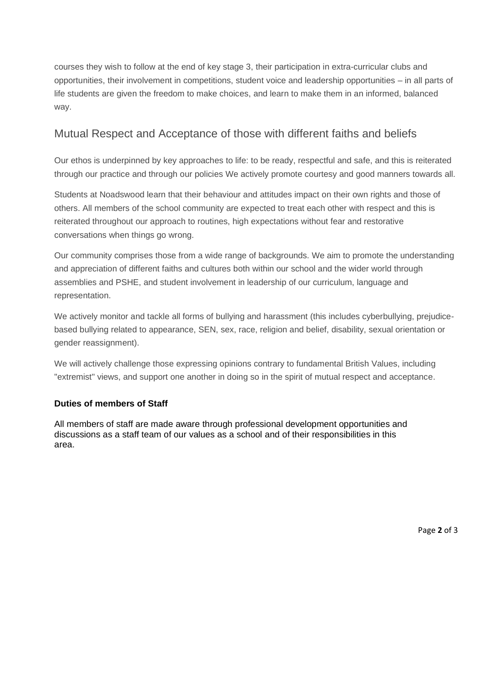courses they wish to follow at the end of key stage 3, their participation in extra-curricular clubs and opportunities, their involvement in competitions, student voice and leadership opportunities – in all parts of life students are given the freedom to make choices, and learn to make them in an informed, balanced way.

# Mutual Respect and Acceptance of those with different faiths and beliefs

Our ethos is underpinned by key approaches to life: to be ready, respectful and safe, and this is reiterated through our practice and through our policies We actively promote courtesy and good manners towards all.

Students at Noadswood learn that their behaviour and attitudes impact on their own rights and those of others. All members of the school community are expected to treat each other with respect and this is reiterated throughout our approach to routines, high expectations without fear and restorative conversations when things go wrong.

Our community comprises those from a wide range of backgrounds. We aim to promote the understanding and appreciation of different faiths and cultures both within our school and the wider world through assemblies and PSHE, and student involvement in leadership of our curriculum, language and representation.

We actively monitor and tackle all forms of bullying and harassment (this includes cyberbullying, prejudicebased bullying related to appearance, SEN, sex, race, religion and belief, disability, sexual orientation or gender reassignment).

We will actively challenge those expressing opinions contrary to fundamental British Values, including "extremist" views, and support one another in doing so in the spirit of mutual respect and acceptance.

#### **Duties of members of Staff**

All members of staff are made aware through professional development opportunities and discussions as a staff team of our values as a school and of their responsibilities in this area.